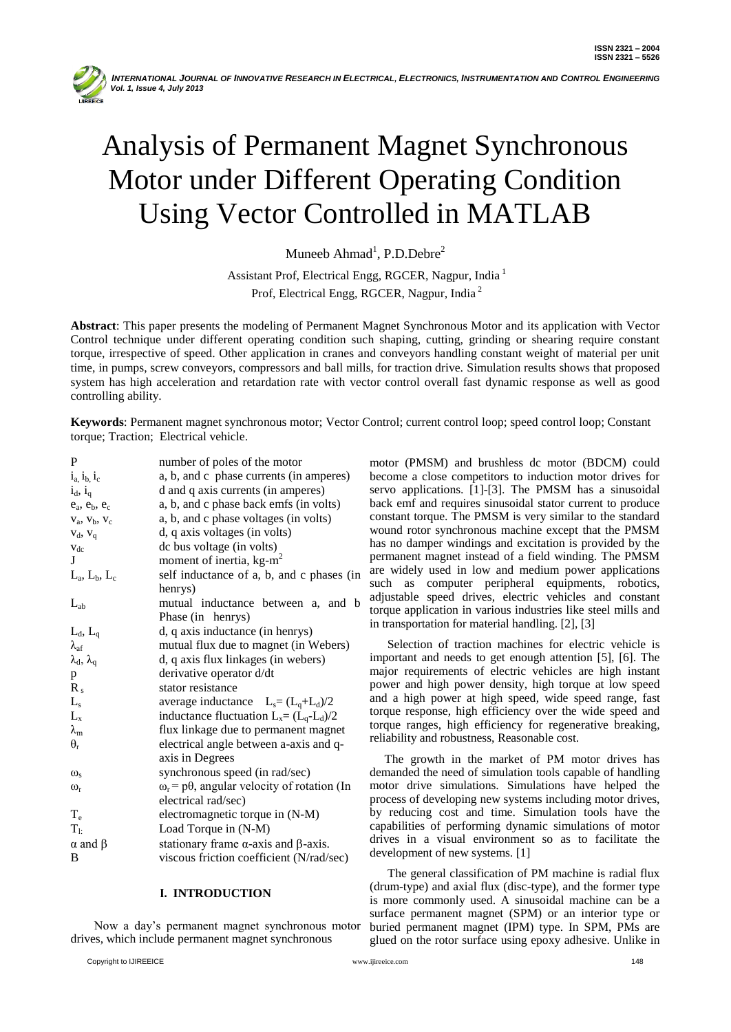

# Analysis of Permanent Magnet Synchronous Motor under Different Operating Condition Using Vector Controlled in MATLAB

Muneeb  $Ahmad<sup>1</sup>$ , P.D.Debre<sup>2</sup>

Assistant Prof, Electrical Engg, RGCER, Nagpur, India <sup>1</sup> Prof, Electrical Engg, RGCER, Nagpur, India <sup>2</sup>

**Abstract**: This paper presents the modeling of Permanent Magnet Synchronous Motor and its application with Vector Control technique under different operating condition such shaping, cutting, grinding or shearing require constant torque, irrespective of speed. Other application in cranes and conveyors handling constant weight of material per unit time, in pumps, screw conveyors, compressors and ball mills, for traction drive. Simulation results shows that proposed system has high acceleration and retardation rate with vector control overall fast dynamic response as well as good controlling ability.

**Keywords**: Permanent magnet synchronous motor; Vector Control; current control loop; speed control loop; Constant torque; Traction; Electrical vehicle.

| P                         | number of poles of the motor                               |
|---------------------------|------------------------------------------------------------|
| $i_a$ , $i_b$ , $i_c$     | a, b, and c phase currents (in amperes)                    |
| $i_d$ , $i_q$             | d and q axis currents (in amperes)                         |
| $e_a$ , $e_b$ , $e_c$     | a, b, and c phase back emfs (in volts)                     |
| $V_a$ , $V_b$ , $V_c$     | a, b, and c phase voltages (in volts)                      |
| $V_d$ , $V_q$             | d, q axis voltages (in volts)                              |
| $V_{dc}$                  | dc bus voltage (in volts)                                  |
| L                         | moment of inertia, kg-m <sup>2</sup>                       |
| $L_a$ , $L_b$ , $L_c$     | self inductance of a, b, and c phases (in                  |
|                           | henrys)                                                    |
| $L_{ab}$                  | mutual inductance between a, and b                         |
|                           | Phase (in henrys)                                          |
| $L_d$ , $L_q$             | d, q axis inductance (in henrys)                           |
| $\lambda_{\rm af}$        | mutual flux due to magnet (in Webers)                      |
| $\lambda_d$ , $\lambda_q$ | d, q axis flux linkages (in webers)                        |
| p                         | derivative operator d/dt                                   |
| $R_{s}$                   | stator resistance                                          |
| $L_{s}$                   | average inductance $L_s = (L_q + L_d)/2$                   |
| $L_{x}$                   | inductance fluctuation $L_x = (L_q - L_d)/2$               |
| $\lambda_{\rm m}$         | flux linkage due to permanent magnet                       |
| $\theta_r$                | electrical angle between a-axis and q-                     |
|                           | axis in Degrees                                            |
| $\omega_{s}$              | synchronous speed (in rad/sec)                             |
| $\omega_{r}$              | $\omega_r$ = p $\theta$ , angular velocity of rotation (In |
|                           | electrical rad/sec)                                        |
| $T_{\rm e}$               | electromagnetic torque in (N-M)                            |
| $T_{1:}$                  | Load Torque in (N-M)                                       |
| $\alpha$ and $\beta$      | stationary frame $\alpha$ -axis and $\beta$ -axis.         |
| B                         | viscous friction coefficient (N/rad/sec)                   |
|                           |                                                            |

## **I. INTRODUCTION**

 Now a day"s permanent magnet synchronous motor drives, which include permanent magnet synchronous

motor (PMSM) and brushless dc motor (BDCM) could become a close competitors to induction motor drives for servo applications. [1]-[3]. The PMSM has a sinusoidal back emf and requires sinusoidal stator current to produce constant torque. The PMSM is very similar to the standard wound rotor synchronous machine except that the PMSM has no damper windings and excitation is provided by the permanent magnet instead of a field winding. The PMSM are widely used in low and medium power applications such as computer peripheral equipments, robotics, adjustable speed drives, electric vehicles and constant torque application in various industries like steel mills and in transportation for material handling. [2], [3]

Selection of traction machines for electric vehicle is important and needs to get enough attention [5], [6]. The major requirements of electric vehicles are high instant power and high power density, high torque at low speed and a high power at high speed, wide speed range, fast torque response, high efficiency over the wide speed and torque ranges, high efficiency for regenerative breaking, reliability and robustness, Reasonable cost.

 The growth in the market of PM motor drives has demanded the need of simulation tools capable of handling motor drive simulations. Simulations have helped the process of developing new systems including motor drives, by reducing cost and time. Simulation tools have the capabilities of performing dynamic simulations of motor drives in a visual environment so as to facilitate the development of new systems. [1]

 The general classification of PM machine is radial flux (drum-type) and axial flux (disc-type), and the former type is more commonly used. A sinusoidal machine can be a surface permanent magnet (SPM) or an interior type or buried permanent magnet (IPM) type. In SPM, PMs are glued on the rotor surface using epoxy adhesive. Unlike in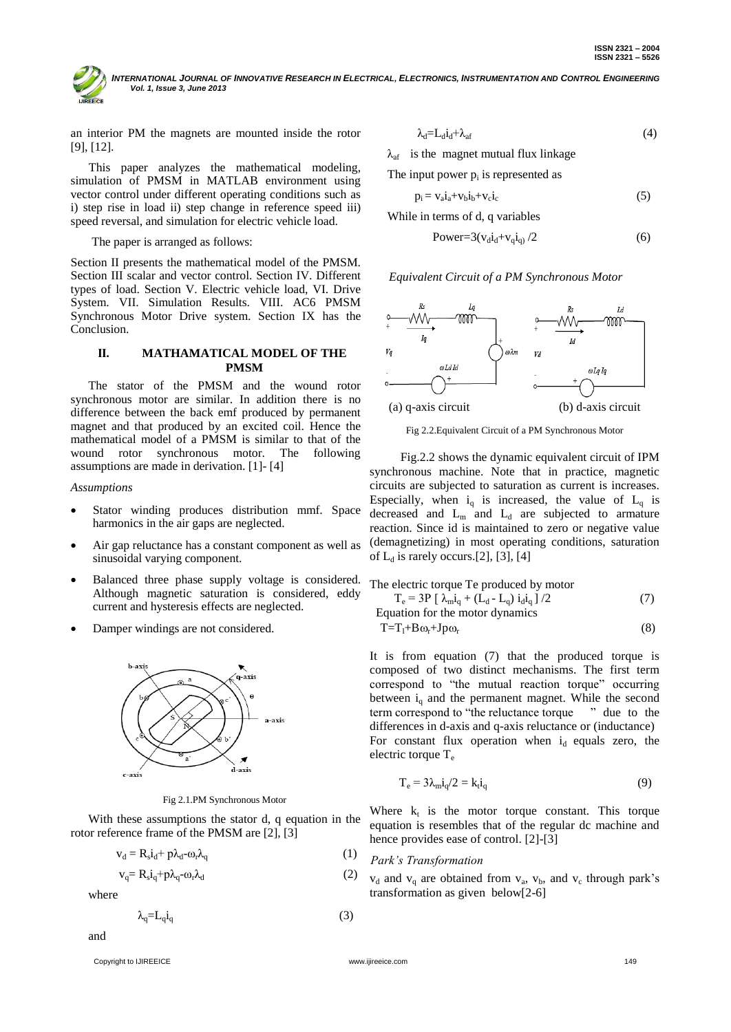INTERNATIONAL JOURNAL OF INNOVATIVE RESEARCH IN ELECTRICAL, ELECTRONICS, INSTRUMENTATION AND CONTROL ENGINEERING  *Vol. 1, Issue 3, June 2013*

an interior PM the magnets are mounted inside the rotor [9], [12].

 This paper analyzes the mathematical modeling, simulation of PMSM in MATLAB environment using vector control under different operating conditions such as i) step rise in load ii) step change in reference speed iii) speed reversal, and simulation for electric vehicle load.

The paper is arranged as follows:

Section II presents the mathematical model of the PMSM. Section III scalar and vector control. Section IV. Different types of load. Section V. Electric vehicle load, VI. Drive System. VII. Simulation Results. VIII. AC6 PMSM Synchronous Motor Drive system. Section IX has the Conclusion.

## **II. MATHAMATICAL MODEL OF THE PMSM**

The stator of the PMSM and the wound rotor synchronous motor are similar. In addition there is no difference between the back emf produced by permanent magnet and that produced by an excited coil. Hence the mathematical model of a PMSM is similar to that of the wound rotor synchronous motor. The following assumptions are made in derivation. [1]- [4]

#### *Assumptions*

- Stator winding produces distribution mmf. Space harmonics in the air gaps are neglected.
- Air gap reluctance has a constant component as well as sinusoidal varying component.
- Balanced three phase supply voltage is considered. Although magnetic saturation is considered, eddy current and hysteresis effects are neglected.
- Damper windings are not considered.



Fig 2.1.PM Synchronous Motor

With these assumptions the stator d, q equation in the rotor reference frame of the PMSM are [2], [3]

$$
v_d = R_s i_d + p \lambda_d - \omega_r \lambda_q \tag{1}
$$

$$
v_q = R_s i_q + p \lambda_q - \omega_r \lambda_d \tag{2}
$$

where

$$
\lambda_{\mathbf{q}} = \mathbf{L}_{\mathbf{q}} \mathbf{i}_{\mathbf{q}} \tag{3}
$$

and

$$
\lambda_d = L_d i_d + \lambda_{af} \tag{4}
$$

is the magnet mutual flux linkage

The input power  $p_i$  is represented as

$$
p_i = v_a i_a + v_b i_b + v_c i_c \tag{5}
$$

While in terms of d, q variables

$$
Power = 3(v_d i_d + v_q i_q) / 2 \tag{6}
$$

*Equivalent Circuit of a PM Synchronous Motor*



Fig 2.2.Equivalent Circuit of a PM Synchronous Motor

 Fig.2.2 shows the dynamic equivalent circuit of IPM synchronous machine. Note that in practice, magnetic circuits are subjected to saturation as current is increases. Especially, when  $i_q$  is increased, the value of  $L_q$  is decreased and  $L_m$  and  $L_d$  are subjected to armature reaction. Since id is maintained to zero or negative value (demagnetizing) in most operating conditions, saturation of  $L_d$  is rarely occurs.[2], [3], [4]

The electric torque Te produced by motor  
\n
$$
T_e = 3P [\lambda_{m} i_q + (L_d - L_q) i_d i_q] / 2
$$
\nEquation for the motor dynamics  
\n
$$
T = T_l + B\omega_r + Jp\omega_r
$$
\n(8)

It is from equation (7) that the produced torque is composed of two distinct mechanisms. The first term correspond to "the mutual reaction torque" occurring between  $i_a$  and the permanent magnet. While the second term correspond to "the reluctance torque " due to the differences in d-axis and q-axis reluctance or (inductance) For constant flux operation when  $i_d$  equals zero, the electric torque T<sub>e</sub>

$$
T_e = 3\lambda_m i_q/2 = k_t i_q
$$
 (9)

Where  $k_t$  is the motor torque constant. This torque equation is resembles that of the regular dc machine and hence provides ease of control. [2]-[3]

## *Park's Transformation*

 $v_d$  and  $v_q$  are obtained from  $v_a$ ,  $v_b$ , and  $v_c$  through park's transformation as given below[2-6]

Copyright to IJIREEICE www.ijireeice.com 149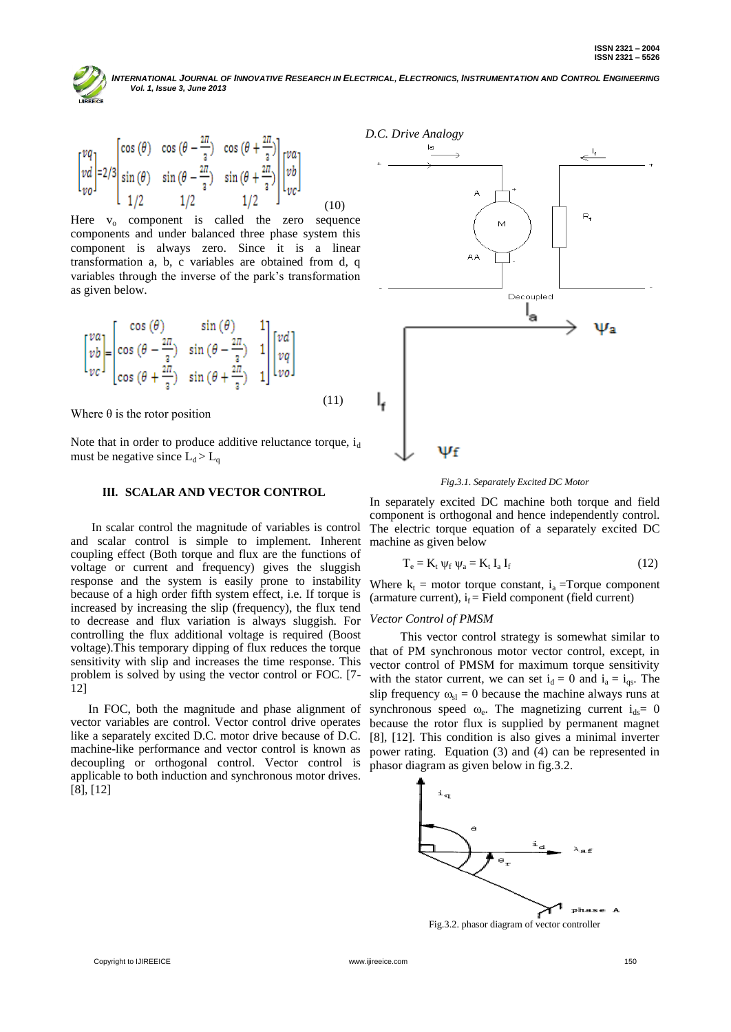NTERNATIONAL JOURNAL OF INNOVATIVE RESEARCH IN ELECTRICAL, ELECTRONICS, INSTRUMENTATION AND CONTROL ENGINEERING  *Vol. 1, Issue 3, June 2013*

$$
\begin{bmatrix} vq \\ vd \\ vo \end{bmatrix} = 2/3 \begin{bmatrix} \cos(\theta) & \cos(\theta - \frac{2\pi}{3}) & \cos(\theta + \frac{2\pi}{3}) \\ \sin(\theta) & \sin(\theta - \frac{2\pi}{3}) & \sin(\theta + \frac{2\pi}{3}) \\ 1/2 & 1/2 & 1/2 \end{bmatrix} \begin{bmatrix} va \\ vb \\ vc \end{bmatrix}
$$
(10)

Here  $v_0$  component is called the zero sequence components and under balanced three phase system this component is always zero. Since it is a linear transformation a, b, c variables are obtained from d, q variables through the inverse of the park"s transformation as given below.

$$
\begin{bmatrix} va \\ v b \\ v c \end{bmatrix} = \begin{bmatrix} \cos(\theta) & \sin(\theta) & 1 \\ \cos(\theta - \frac{2\pi}{3}) & \sin(\theta - \frac{2\pi}{3}) & 1 \\ \cos(\theta + \frac{2\pi}{3}) & \sin(\theta + \frac{2\pi}{3}) & 1 \end{bmatrix} \begin{bmatrix} vd \\ vq \\ vo \end{bmatrix}
$$
(11)

Where  $\theta$  is the rotor position

Note that in order to produce additive reluctance torque,  $i_d$ must be negative since  $L_d > L_q$ 

## **III. SCALAR AND VECTOR CONTROL**

 In scalar control the magnitude of variables is control and scalar control is simple to implement. Inherent coupling effect (Both torque and flux are the functions of voltage or current and frequency) gives the sluggish response and the system is easily prone to instability because of a high order fifth system effect, i.e. If torque is increased by increasing the slip (frequency), the flux tend to decrease and flux variation is always sluggish. For controlling the flux additional voltage is required (Boost voltage).This temporary dipping of flux reduces the torque sensitivity with slip and increases the time response. This problem is solved by using the vector control or FOC. [7- 12]

In FOC, both the magnitude and phase alignment of vector variables are control. Vector control drive operates like a separately excited D.C. motor drive because of D.C. machine-like performance and vector control is known as decoupling or orthogonal control. Vector control is applicable to both induction and synchronous motor drives. [8], [12]



*Fig.3.1. Separately Excited DC Motor*

In separately excited DC machine both torque and field component is orthogonal and hence independently control. The electric torque equation of a separately excited DC machine as given below

$$
T_e = K_t \psi_f \psi_a = K_t I_a I_f \tag{12}
$$

Where  $k_t$  = motor torque constant,  $i_a$  =Torque component (armature current),  $i_f$  = Field component (field current)

## *Vector Control of PMSM*

 This vector control strategy is somewhat similar to that of PM synchronous motor vector control, except, in vector control of PMSM for maximum torque sensitivity with the stator current, we can set  $i_d = 0$  and  $i_a = i_{gs}$ . The slip frequency  $\omega_{sl} = 0$  because the machine always runs at synchronous speed  $\omega_e$ . The magnetizing current  $i_{ds}= 0$ because the rotor flux is supplied by permanent magnet [8], [12]. This condition is also gives a minimal inverter power rating. Equation (3) and (4) can be represented in phasor diagram as given below in fig.3.2.



Fig.3.2. phasor diagram of vector controller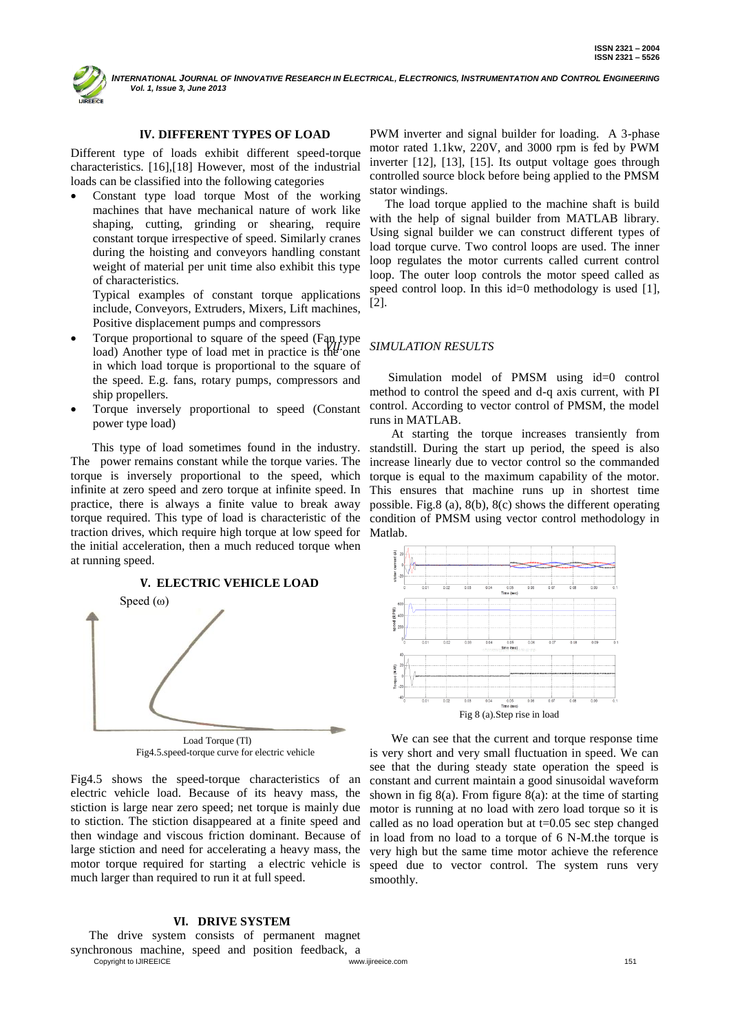NTERNATIONAL JOURNAL OF INNOVATIVE RESEARCH IN ELECTRICAL, ELECTRONICS, INSTRUMENTATION AND CONTROL ENGINEERING  *Vol. 1, Issue 3, June 2013*

# **IV. DIFFERENT TYPES OF LOAD**

Different type of loads exhibit different speed-torque characteristics. [16],[18] However, most of the industrial loads can be classified into the following categories

 Constant type load torque Most of the working machines that have mechanical nature of work like shaping, cutting, grinding or shearing, require constant torque irrespective of speed. Similarly cranes during the hoisting and conveyors handling constant weight of material per unit time also exhibit this type of characteristics.

Typical examples of constant torque applications include, Conveyors, Extruders, Mixers, Lift machines, Positive displacement pumps and compressors

- Torque proportional to square of the speed (Fan type load) Another type of load met in practice is the one in which load torque is proportional to the square of the speed. E.g. fans, rotary pumps, compressors and ship propellers.
- Torque inversely proportional to speed (Constant power type load)

 This type of load sometimes found in the industry. The power remains constant while the torque varies. The torque is inversely proportional to the speed, which infinite at zero speed and zero torque at infinite speed. In practice, there is always a finite value to break away torque required. This type of load is characteristic of the traction drives, which require high torque at low speed for Matlab. the initial acceleration, then a much reduced torque when at running speed.

## **V. ELECTRIC VEHICLE LOAD**



Fig4.5.speed-torque curve for electric vehicle

Fig4.5 shows the speed-torque characteristics of an electric vehicle load. Because of its heavy mass, the stiction is large near zero speed; net torque is mainly due to stiction. The stiction disappeared at a finite speed and then windage and viscous friction dominant. Because of large stiction and need for accelerating a heavy mass, the motor torque required for starting a electric vehicle is much larger than required to run it at full speed.

## **VI. DRIVE SYSTEM**

Copyright to UIREEICE **151** www.ijireeice.com **151** www.ijireeice.com 151 The drive system consists of permanent magnet synchronous machine, speed and position feedback, a

PWM inverter and signal builder for loading. A 3-phase motor rated 1.1kw, 220V, and 3000 rpm is fed by PWM inverter [12], [13], [15]. Its output voltage goes through controlled source block before being applied to the PMSM stator windings.

 The load torque applied to the machine shaft is build with the help of signal builder from MATLAB library. Using signal builder we can construct different types of load torque curve. Two control loops are used. The inner loop regulates the motor currents called current control loop. The outer loop controls the motor speed called as speed control loop. In this id=0 methodology is used [1], [2].

## *VII. SIMULATION RESULTS*

 Simulation model of PMSM using id=0 control method to control the speed and d-q axis current, with PI control. According to vector control of PMSM, the model runs in MATLAB.

 At starting the torque increases transiently from standstill. During the start up period, the speed is also increase linearly due to vector control so the commanded torque is equal to the maximum capability of the motor. This ensures that machine runs up in shortest time possible. Fig.8 (a), 8(b), 8(c) shows the different operating condition of PMSM using vector control methodology in



 We can see that the current and torque response time is very short and very small fluctuation in speed. We can see that the during steady state operation the speed is constant and current maintain a good sinusoidal waveform shown in fig  $8(a)$ . From figure  $8(a)$ : at the time of starting motor is running at no load with zero load torque so it is called as no load operation but at t=0.05 sec step changed in load from no load to a torque of 6 N-M.the torque is very high but the same time motor achieve the reference speed due to vector control. The system runs very smoothly.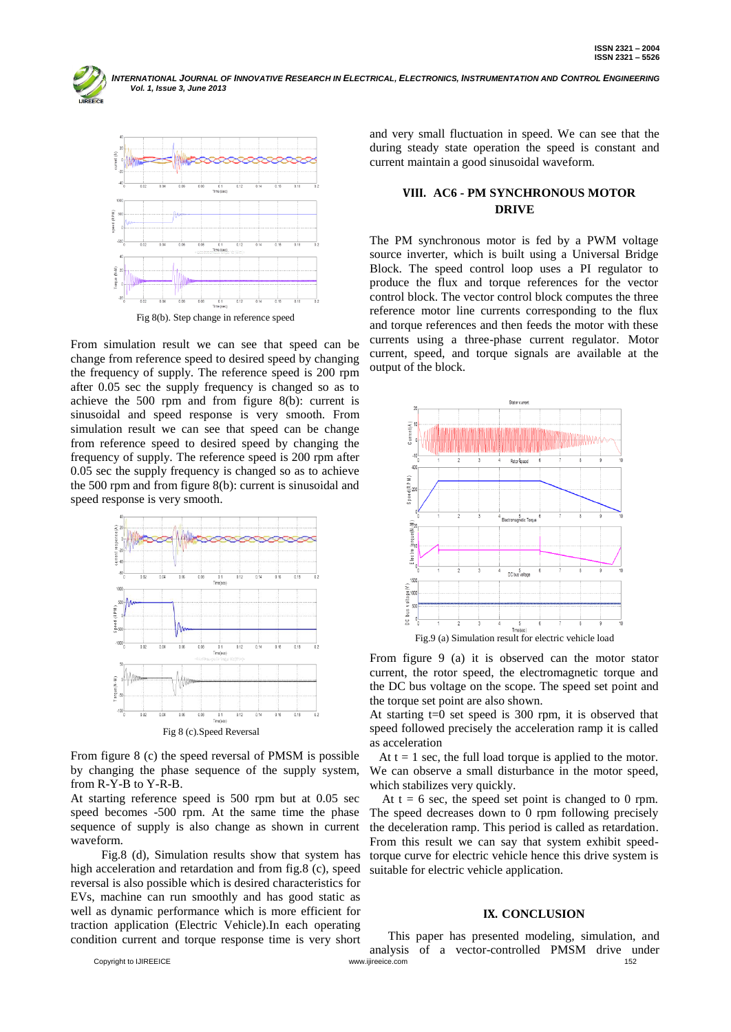INTERNATIONAL JOURNAL OF INNOVATIVE RESEARCH IN ELECTRICAL, ELECTRONICS, INSTRUMENTATION AND CONTROL ENGINEERING  *Vol. 1, Issue 3, June 2013*



From simulation result we can see that speed can be change from reference speed to desired speed by changing the frequency of supply. The reference speed is 200 rpm after 0.05 sec the supply frequency is changed so as to achieve the 500 rpm and from figure 8(b): current is sinusoidal and speed response is very smooth. From simulation result we can see that speed can be change from reference speed to desired speed by changing the frequency of supply. The reference speed is 200 rpm after 0.05 sec the supply frequency is changed so as to achieve the 500 rpm and from figure 8(b): current is sinusoidal and speed response is very smooth.



From figure 8 (c) the speed reversal of PMSM is possible by changing the phase sequence of the supply system, from R-Y-B to Y-R-B.

At starting reference speed is 500 rpm but at 0.05 sec speed becomes -500 rpm. At the same time the phase sequence of supply is also change as shown in current waveform.

 Fig.8 (d), Simulation results show that system has high acceleration and retardation and from fig.8 (c), speed reversal is also possible which is desired characteristics for EVs, machine can run smoothly and has good static as well as dynamic performance which is more efficient for traction application (Electric Vehicle).In each operating condition current and torque response time is very short

and very small fluctuation in speed. We can see that the during steady state operation the speed is constant and current maintain a good sinusoidal waveform.

# **VIII. AC6 - PM SYNCHRONOUS MOTOR DRIVE**

The PM synchronous motor is fed by a PWM voltage source inverter, which is built using a Universal Bridge Block. The speed control loop uses a PI regulator to produce the flux and torque references for the vector control block. The vector control block computes the three reference motor line currents corresponding to the flux and torque references and then feeds the motor with these currents using a three-phase current regulator. Motor current, speed, and torque signals are available at the output of the block.



From figure 9 (a) it is observed can the motor stator current, the rotor speed, the electromagnetic torque and the DC bus voltage on the scope. The speed set point and the torque set point are also shown.

At starting  $t=0$  set speed is 300 rpm, it is observed that speed followed precisely the acceleration ramp it is called as acceleration

At  $t = 1$  sec, the full load torque is applied to the motor. We can observe a small disturbance in the motor speed, which stabilizes very quickly.

At  $t = 6$  sec, the speed set point is changed to 0 rpm. The speed decreases down to 0 rpm following precisely the deceleration ramp. This period is called as retardation. From this result we can say that system exhibit speedtorque curve for electric vehicle hence this drive system is suitable for electric vehicle application.

#### **IX. CONCLUSION**

Copyright to IJIREEICE www.ijireeice.com 152 This paper has presented modeling, simulation, and analysis of a vector-controlled PMSM drive under